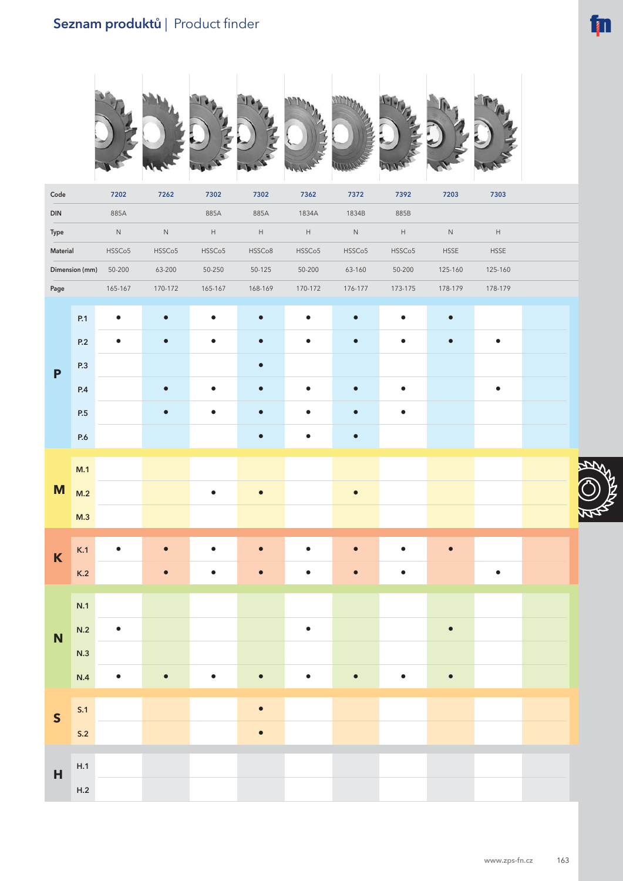# Seznam produktů | Product finder



| Code         |                | 7202      | 7262       | 7302                      | 7302                      | 7362                      | 7372       | 7392                      | 7203                         | 7303                      |  |
|--------------|----------------|-----------|------------|---------------------------|---------------------------|---------------------------|------------|---------------------------|------------------------------|---------------------------|--|
| <b>DIN</b>   |                | 885A      |            | 885A                      | 885A                      | 1834A                     | 1834B      | 885B                      |                              |                           |  |
| Type         |                | $\,$ N    | $\hbox{N}$ | $\boldsymbol{\mathsf{H}}$ | $\boldsymbol{\mathsf{H}}$ | $\boldsymbol{\mathsf{H}}$ | $\hbox{N}$ | $\boldsymbol{\mathsf{H}}$ | $\hbox{N}$                   | $\boldsymbol{\mathsf{H}}$ |  |
| Material     |                | HSSCo5    | HSSCo5     | HSSCo5                    | HSSCo8                    | HSSCo5                    | HSSCo5     | HSSCo5                    | $\ensuremath{\mathsf{HSSE}}$ | ${\sf HSSE}$              |  |
|              | Dimension (mm) | 50-200    | 63-200     | 50-250                    | $50 - 125$                | 50-200                    | 63-160     | 50-200                    | 125-160                      | 125-160                   |  |
| Page         |                | 165-167   | 170-172    | 165-167                   | 168-169                   | 170-172                   | 176-177    | 173-175                   | 178-179                      | 178-179                   |  |
|              | P.1            | $\bullet$ | $\bullet$  | $\bullet$                 | $\bullet$                 | $\bullet$                 | $\bullet$  | $\bullet$                 | $\bullet$                    |                           |  |
|              |                | $\bullet$ | $\bullet$  | $\bullet$                 | $\bullet$                 | $\bullet$                 | $\bullet$  | $\bullet$                 | $\bullet$                    | $\bullet$                 |  |
|              | P.2            |           |            |                           |                           |                           |            |                           |                              |                           |  |
| P            | P.3            |           |            |                           | $\bullet$                 |                           |            |                           |                              |                           |  |
|              | P.4            |           | $\bullet$  | $\bullet$                 | $\bullet$                 | $\bullet$                 | $\bullet$  | $\bullet$                 |                              | $\bullet$                 |  |
|              | P.5            |           | $\bullet$  | $\bullet$                 | $\bullet$                 | $\bullet$                 | $\bullet$  | $\bullet$                 |                              |                           |  |
|              | P.6            |           |            |                           | $\bullet$                 | $\bullet$                 | $\bullet$  |                           |                              |                           |  |
|              |                |           |            |                           |                           |                           |            |                           |                              |                           |  |
|              | M.1            |           |            |                           |                           |                           |            |                           |                              |                           |  |
| M            | M.2            |           |            | $\bullet$                 | $\bullet$                 |                           | $\bullet$  |                           |                              |                           |  |
|              | M.3            |           |            |                           |                           |                           |            |                           |                              |                           |  |
|              |                |           |            |                           |                           |                           |            |                           |                              |                           |  |
| K            | K.1            | $\bullet$ | $\bullet$  | $\bullet$                 | г                         | ●                         | $\bullet$  | $\bullet$                 | $\bullet$                    |                           |  |
|              | K.2            |           |            |                           |                           |                           |            |                           |                              | ٠                         |  |
|              |                |           |            |                           |                           |                           |            |                           |                              |                           |  |
|              | N.1            |           |            |                           |                           |                           |            |                           |                              |                           |  |
| N            | N.2            | $\bullet$ |            |                           |                           | $\bullet$                 |            |                           | $\bullet$                    |                           |  |
|              | N.3            |           |            |                           |                           |                           |            |                           |                              |                           |  |
|              | N.4            | $\bullet$ | $\bullet$  | $\bullet$                 | $\bullet$                 | $\bullet$                 | $\bullet$  | $\bullet$                 | $\bullet$                    |                           |  |
|              |                |           |            |                           |                           |                           |            |                           |                              |                           |  |
| $\mathsf{S}$ | S.1            |           |            |                           | $\bullet$                 |                           |            |                           |                              |                           |  |
|              | S.2            |           |            |                           | $\bullet$                 |                           |            |                           |                              |                           |  |
|              |                |           |            |                           |                           |                           |            |                           |                              |                           |  |
| H            | H.1            |           |            |                           |                           |                           |            |                           |                              |                           |  |
|              | H.2            |           |            |                           |                           |                           |            |                           |                              |                           |  |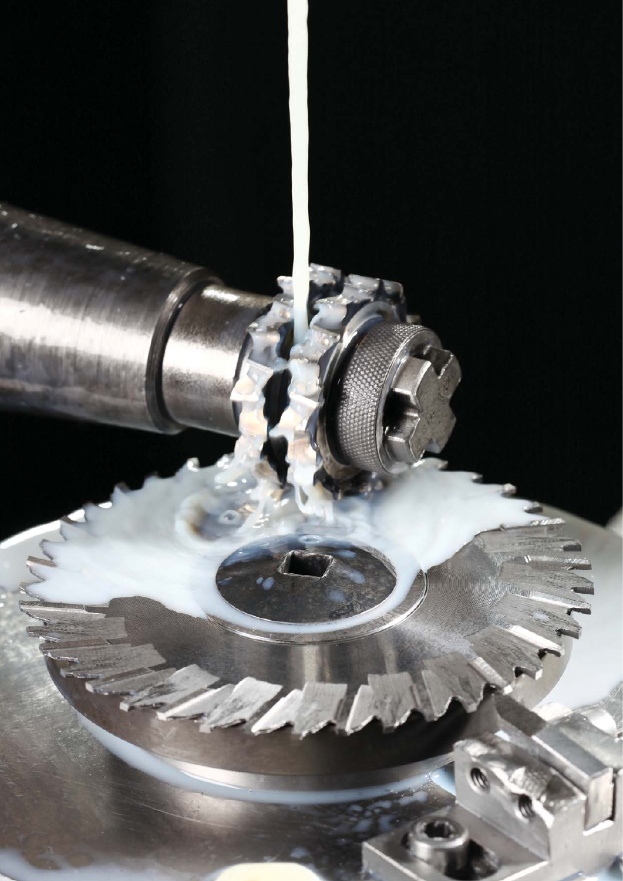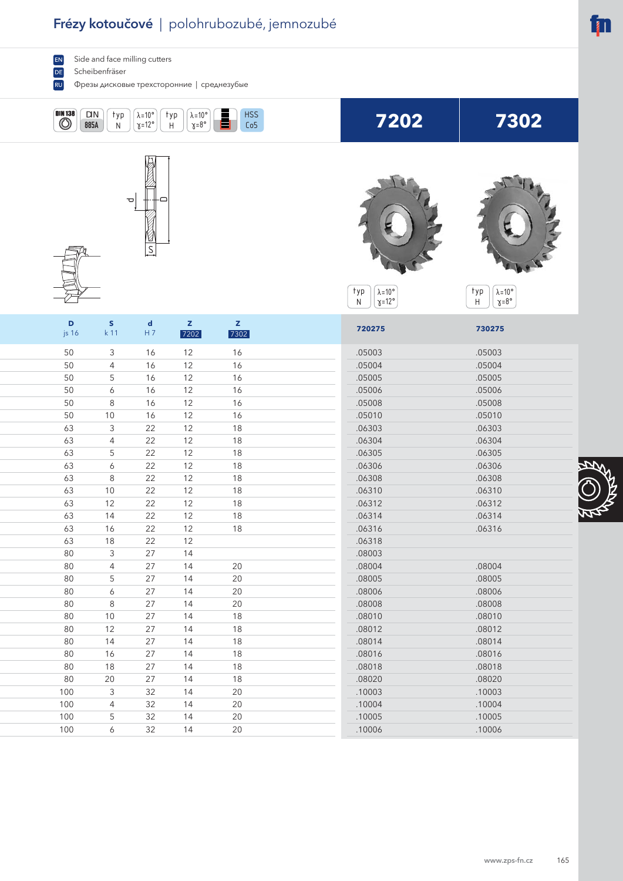### **Frézy kotoučové** | polohrubozubé, jemnozubé

 $\lambda = 10^{\circ}$ <br> $\gamma = 8^{\circ}$ 



Scheibenfräser  $DE$ 

**DIN 138** DIN typ

**DIN 138** 

**RU** Фрезы дисковые трехсторонние | среднезубые

> typ H

 $\sqrt{\lambda = 10^{\circ}}$ ƀ 12° **885A** ƀ 8°

N

đ





**HSS** Co5



 $\chi$ =12°

N



 $\gamma = 8^\circ$ 

 $\sf H$ 

| D<br>js 16 | s<br>k <sub>11</sub> | d<br>H <sub>7</sub> | z<br>7202 | z.<br>7302 | 720275 | 730275 |
|------------|----------------------|---------------------|-----------|------------|--------|--------|
| 50         | 3                    | 16                  | 12        | 16         | .05003 | .05003 |
| 50         | 4                    | 16                  | 12        | 16         | .05004 | .05004 |
| 50         | 5                    | 16                  | 12        | 16         | .05005 | .05005 |
| 50         | 6                    | 16                  | 12        | 16         | .05006 | .05006 |
| 50         | 8                    | 16                  | 12        | 16         | .05008 | .05008 |
| 50         | 10                   | 16                  | 12        | 16         | .05010 | .05010 |
| 63         | 3                    | 22                  | 12        | 18         | .06303 | .06303 |
| 63         | 4                    | 22                  | 12        | 18         | .06304 | .06304 |
| 63         | 5                    | 22                  | 12        | 18         | .06305 | .06305 |
| 63         | 6                    | 22                  | 12        | 18         | .06306 | .06306 |
| 63         | 8                    | 22                  | 12        | 18         | .06308 | .06308 |
| 63         | 10                   | 22                  | 12        | 18         | .06310 | .06310 |
| 63         | 12                   | 22                  | 12        | 18         | .06312 | .06312 |
| 63         | 14                   | 22                  | 12        | 18         | .06314 | .06314 |
| 63         | 16                   | 22                  | 12        | 18         | .06316 | .06316 |
| 63         | 18                   | 22                  | 12        |            | .06318 |        |
| 80         | 3                    | 27                  | 14        |            | .08003 |        |
| 80         | 4                    | 27                  | 14        | 20         | .08004 | .08004 |
| 80         | 5                    | 27                  | 14        | 20         | .08005 | .08005 |
| 80         | 6                    | 27                  | 14        | 20         | .08006 | .08006 |
| 80         | 8                    | 27                  | 14        | 20         | .08008 | .08008 |
| 80         | 10                   | 27                  | 14        | 18         | .08010 | .08010 |
| 80         | 12                   | 27                  | 14        | 18         | .08012 | .08012 |
| 80         | 14                   | 27                  | 14        | 18         | .08014 | .08014 |
| 80         | 16                   | 27                  | 14        | 18         | .08016 | .08016 |
| 80         | 18                   | 27                  | 14        | 18         | .08018 | .08018 |
| 80         | 20                   | 27                  | 14        | 18         | .08020 | .08020 |
| 100        | 3                    | 32                  | 14        | 20         | .10003 | .10003 |
| 100        | 4                    | 32                  | 14        | 20         | .10004 | .10004 |
| 100        | 5                    | 32                  | 14        | 20         | .10005 | .10005 |
| 100        | 6                    | 32                  | 14        | 20         | .10006 | .10006 |

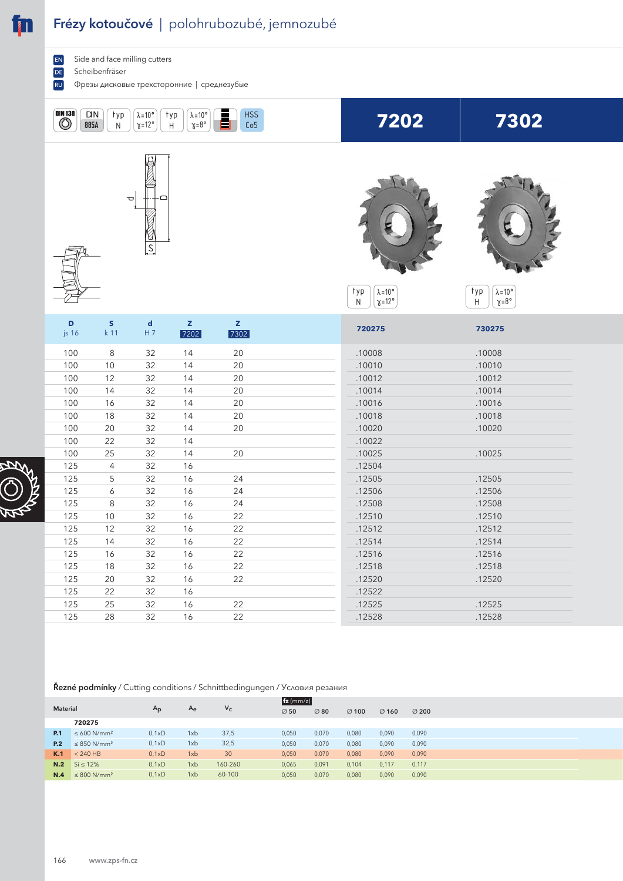#### fn Frézy kotoučové | polohrubozubé, jemnozubé



 $DE$ Scheibenfräser

**RU** Фрезы дисковые трехсторонние | среднезубые





125

28

32





 $\sqrt{5}$ =12°

 ${\sf N}$ 



 $\lambda = 10^{\circ}$ <br> $\chi = 8^{\circ}$ 

typ

 $\sf H$ 

.12528

| D<br>is 16 | S<br>k <sub>11</sub> | $\mathbf d$<br>H <sub>7</sub> | $\mathbf{z}$<br>7202 | $\mathbf{z}$<br>7302 | 720275 | 730275 |
|------------|----------------------|-------------------------------|----------------------|----------------------|--------|--------|
| 100        | 8                    | 32                            | 14                   | 20                   | .10008 | .10008 |
| 100        | 10                   | 32                            | 14                   | 20                   | .10010 | .10010 |
| 100        | 12                   | 32                            | 14                   | 20                   | .10012 | .10012 |
| 100        | 14                   | 32                            | 14                   | 20                   | .10014 | .10014 |
| 100        | 16                   | 32                            | 14                   | 20                   | .10016 | .10016 |
| 100        | 18                   | 32                            | 14                   | 20                   | .10018 | .10018 |
| 100        | 20                   | 32                            | 14                   | 20                   | .10020 | .10020 |
| 100        | 22                   | 32                            | 14                   |                      | .10022 |        |
| 100        | 25                   | 32                            | 14                   | 20                   | .10025 | .10025 |
| 125        | $\overline{4}$       | 32                            | 16                   |                      | .12504 |        |
| 125        | 5                    | 32                            | 16                   | 24                   | .12505 | .12505 |
| 125        | 6                    | 32                            | 16                   | 24                   | .12506 | .12506 |
| 125        | 8                    | 32                            | 16                   | 24                   | .12508 | .12508 |
| 125        | 10 <sup>°</sup>      | 32                            | 16                   | 22                   | .12510 | .12510 |
| 125        | 12                   | 32                            | 16                   | 22                   | .12512 | .12512 |
| 125        | 14                   | 32                            | 16                   | 22                   | .12514 | .12514 |
| 125        | 16                   | 32                            | 16                   | 22                   | .12516 | .12516 |
| 125        | 18                   | 32                            | 16                   | 22                   | .12518 | .12518 |
| 125        | 20                   | 32                            | 16                   | 22                   | .12520 | .12520 |
| 125        | 22                   | 32                            | 16                   |                      | .12522 |        |
| 125        | 25                   | 32                            | 16                   | 22                   | .12525 | .12525 |

#### Řezné podmínky / Cutting conditions / Schnittbedingungen / Условия резания

16

22

| Material   |                              | $A_{D}$ | $A_{e}$ | $V_C$   | $ f$ z (mm/z) $ $<br>$\varnothing$ 50 | $\varnothing$ 80 | $\varnothing$ 100 | $\varnothing$ 160 | $\varnothing$ 200 |
|------------|------------------------------|---------|---------|---------|---------------------------------------|------------------|-------------------|-------------------|-------------------|
|            | 720275                       |         |         |         |                                       |                  |                   |                   |                   |
| <b>P.1</b> | $\leq 600$ N/mm <sup>2</sup> | 0,1xD   | 1xb     | 37,5    | 0,050                                 | 0,070            | 0,080             | 0,090             | 0,090             |
| P.2        | $\leq$ 850 N/mm <sup>2</sup> | 0,1xD   | 1xb     | 32,5    | 0,050                                 | 0,070            | 0,080             | 0,090             | 0,090             |
| K.1        | $< 240$ HB                   | 0,1xD   | 1xb     | 30      | 0,050                                 | 0,070            | 0,080             | 0,090             | 0,090             |
| N.2        | $Si \leq 12\%$               | 0,1xD   | 1xb     | 160-260 | 0,065                                 | 0,091            | 0,104             | 0,117             | 0,117             |
| N.4        | $\leq$ 800 N/mm <sup>2</sup> | 0,1xD   | 1xb     | 60-100  | 0,050                                 | 0,070            | 0,080             | 0,090             | 0,090             |

.12528

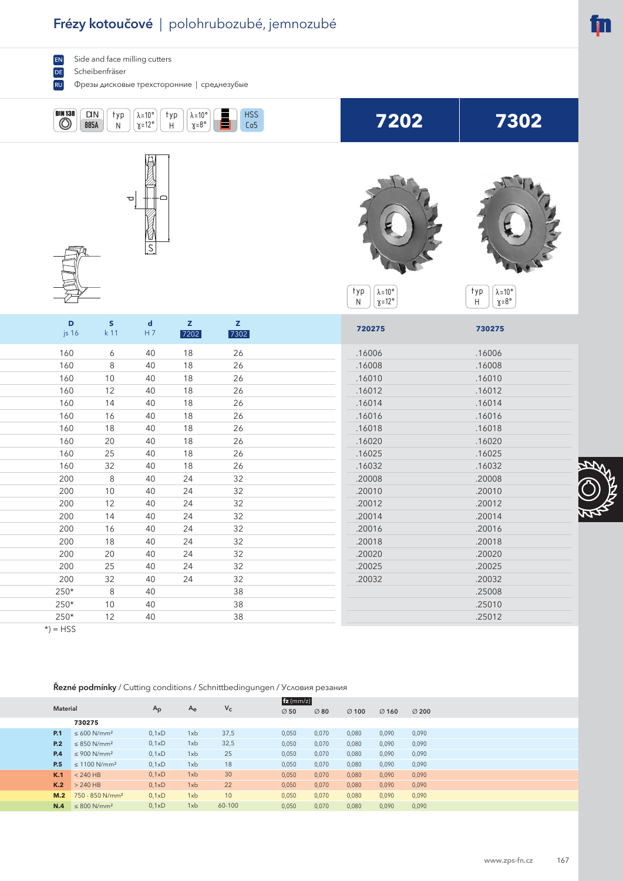# Frézy kotoučové | polohrubozubé, jemnozubé



Scheibenfräser  $DE$ 

**RU** Фрезы дисковые трехсторонние | среднезубые





| 160    | 6  | 40 | 18 | 26 | .16006 | .16006 |
|--------|----|----|----|----|--------|--------|
| 160    | 8  | 40 | 18 | 26 | .16008 | .16008 |
| 160    | 10 | 40 | 18 | 26 | .16010 | .16010 |
| 160    | 12 | 40 | 18 | 26 | .16012 | .16012 |
| 160    | 14 | 40 | 18 | 26 | .16014 | .16014 |
| 160    | 16 | 40 | 18 | 26 | .16016 | .16016 |
| 160    | 18 | 40 | 18 | 26 | .16018 | .16018 |
| 160    | 20 | 40 | 18 | 26 | .16020 | .16020 |
| 160    | 25 | 40 | 18 | 26 | .16025 | .16025 |
| 160    | 32 | 40 | 18 | 26 | .16032 | .16032 |
| 200    | 8  | 40 | 24 | 32 | .20008 | .20008 |
| 200    | 10 | 40 | 24 | 32 | .20010 | .20010 |
| 200    | 12 | 40 | 24 | 32 | .20012 | .20012 |
| 200    | 14 | 40 | 24 | 32 | .20014 | .20014 |
| 200    | 16 | 40 | 24 | 32 | .20016 | .20016 |
| 200    | 18 | 40 | 24 | 32 | .20018 | .20018 |
| 200    | 20 | 40 | 24 | 32 | .20020 | .20020 |
| 200    | 25 | 40 | 24 | 32 | .20025 | .20025 |
| 200    | 32 | 40 | 24 | 32 | .20032 | .20032 |
| $250*$ | 8  | 40 |    | 38 |        | .25008 |
| $250*$ | 10 | 40 |    | 38 |        | .25010 |
| $250*$ | 12 | 40 |    | 38 |        | .25012 |
|        |    |    |    |    |        |        |

 $*) = HSS$ 

|                 |                               |         |         |        | $ f_z \rangle$ (mm/z) |       |                   |                   |                   |  |  |
|-----------------|-------------------------------|---------|---------|--------|-----------------------|-------|-------------------|-------------------|-------------------|--|--|
| <b>Material</b> |                               | $A_{p}$ | $A_{e}$ | $V_c$  | $\varnothing$ 50      | Ø80   | $\varnothing$ 100 | $\varnothing$ 160 | $\varnothing$ 200 |  |  |
|                 | 730275                        |         |         |        |                       |       |                   |                   |                   |  |  |
| <b>P.1</b>      | $< 600$ N/mm <sup>2</sup>     | 0,1xD   | 1xb     | 37,5   | 0,050                 | 0,070 | 0,080             | 0,090             | 0,090             |  |  |
| P <sub>2</sub>  | $< 850$ N/mm <sup>2</sup>     | 0,1xD   | 1xb     | 32,5   | 0,050                 | 0,070 | 0,080             | 0,090             | 0,090             |  |  |
| <b>P.4</b>      | $\leq$ 900 N/mm <sup>2</sup>  | 0,1xD   | 1xb     | 25     | 0,050                 | 0,070 | 0,080             | 0,090             | 0,090             |  |  |
| <b>P.5</b>      | $\leq$ 1100 N/mm <sup>2</sup> | 0,1xD   | 1xb     | 18     | 0,050                 | 0,070 | 0,080             | 0,090             | 0,090             |  |  |
| K.1             | $< 240$ HB                    | 0,1xD   | 1xb     | 30     | 0,050                 | 0,070 | 0,080             | 0,090             | 0,090             |  |  |
| K.2             | $> 240$ HB                    | 0,1xD   | 1xb     | 22     | 0,050                 | 0,070 | 0,080             | 0,090             | 0,090             |  |  |
| M.2             | 750 - 850 N/mm <sup>2</sup>   | 0,1xD   | 1xb     | 10     | 0,050                 | 0,070 | 0,080             | 0,090             | 0,090             |  |  |
| N.4             | $\leq$ 800 N/mm <sup>2</sup>  | 0,1xD   | 1xb     | 60-100 | 0.050                 | 0.070 | 0,080             | 0,090             | 0,090             |  |  |

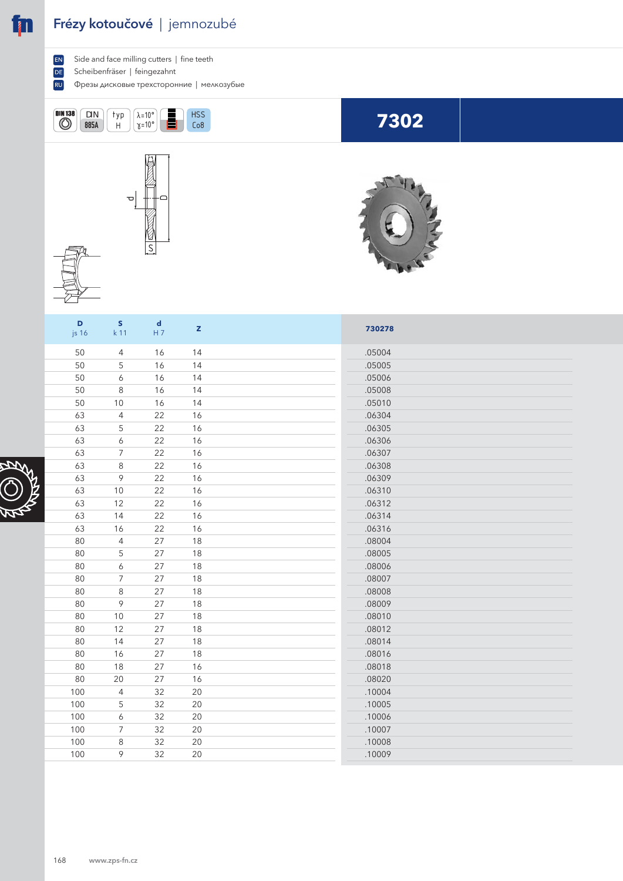### **in Frézy kotoučové** | jemnozubé



- $\boxed{\mathsf{DE}}$ Scheibenfräser | feingezahnt
- $\boxed{RU}$ Фрезы дисковые трехсторонние | мелкозубые













| $\mathbf D$<br>js 16 | S<br>k 11        | $\mathbf d$<br>H <sub>7</sub> | $\mathbf{z}$ | 730278 |
|----------------------|------------------|-------------------------------|--------------|--------|
| 50                   | $\overline{4}$   | 16                            | 14           | .05004 |
| 50                   | 5                | 16                            | 14           | .05005 |
| 50                   | $\boldsymbol{6}$ | 16                            | 14           | .05006 |
| 50                   | $\,8\,$          | 16                            | 14           | .05008 |
| 50                   | 10               | 16                            | 14           | .05010 |
| 63                   | $\overline{4}$   | 22                            | 16           | .06304 |
| 63                   | 5                | 22                            | 16           | .06305 |
| 63                   | 6                | 22                            | 16           | .06306 |
| 63                   | $\overline{7}$   | 22                            | 16           | .06307 |
| 63                   | $\,8\,$          | 22                            | 16           | .06308 |
| 63                   | 9                | 22                            | 16           | .06309 |
| 63                   | 10               | 22                            | 16           | .06310 |
| 63                   | 12               | 22                            | 16           | .06312 |
| 63                   | 14               | 22                            | 16           | .06314 |
| 63                   | 16               | 22                            | 16           | .06316 |
| 80                   | $\overline{4}$   | 27                            | 18           | .08004 |
| 80                   | 5                | 27                            | 18           | .08005 |
| 80                   | $\boldsymbol{6}$ | 27                            | 18           | .08006 |
| 80                   | $\overline{7}$   | 27                            | 18           | .08007 |
| 80                   | $\,8\,$          | 27                            | 18           | .08008 |
| 80                   | 9                | 27                            | 18           | .08009 |
| 80                   | 10               | 27                            | 18           | .08010 |
| 80                   | 12               | 27                            | 18           | .08012 |
| 80                   | 14               | 27                            | 18           | .08014 |
| 80                   | 16               | 27                            | 18           | .08016 |
| 80                   | 18               | 27                            | 16           | .08018 |
| 80                   | 20               | 27                            | 16           | .08020 |
| 100                  | 4                | 32                            | 20           | .10004 |
| 100                  | 5                | 32                            | 20           | .10005 |
| 100                  | 6                | 32                            | 20           | .10006 |
| 100                  | $\overline{7}$   | 32                            | 20           | .10007 |
| 100                  | $\,8\,$          | 32                            | 20           | .10008 |
| 100                  | $\mathcal{P}$    | 32                            | 20           | .10009 |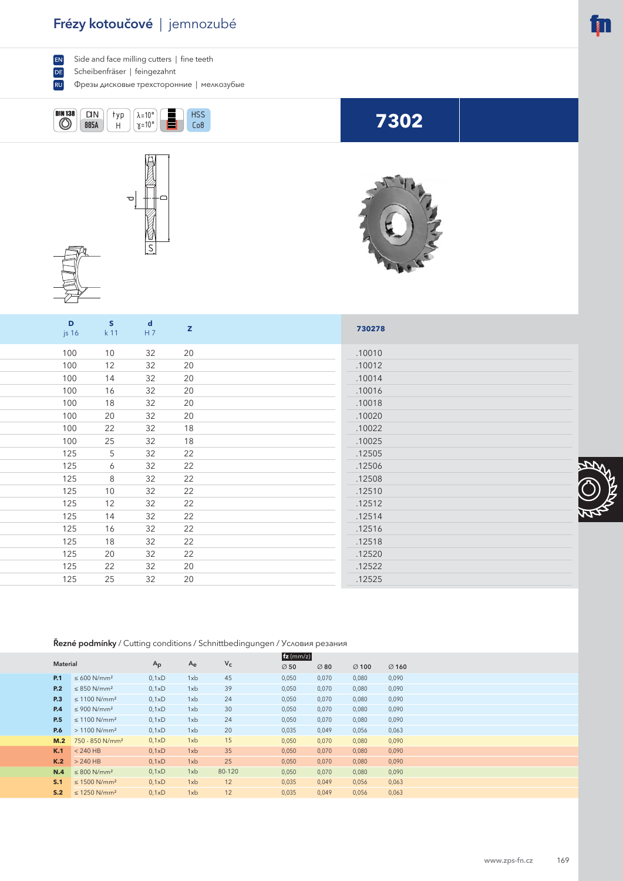# Frézy kotoučové | jemnozubé



- Scheibenfräser | feingezahnt  $\boxed{\mathsf{DE}}$
- **RU** Фрезы дисковые трехсторонние | мелкозубые



| D<br>js 16 | $\mathsf{s}$<br>k 11 | $\mathbf d$<br>H7 | $\mathbf{z}$ | 730278 |
|------------|----------------------|-------------------|--------------|--------|
| 100        | 10                   | 32                | 20           | .10010 |
| 100        | 12                   | 32                | 20           | .10012 |
| 100        | 14                   | 32                | 20           | .10014 |
| 100        | 16                   | 32                | 20           | .10016 |
| 100        | 18                   | 32                | 20           | .10018 |
| 100        | 20                   | 32                | 20           | .10020 |
| 100        | 22                   | 32                | 18           | .10022 |
| 100        | 25                   | 32                | 18           | .10025 |
| 125        | 5                    | 32                | 22           | .12505 |
| 125        | 6                    | 32                | 22           | .12506 |
| 125        | $\,8\,$              | 32                | 22           | .12508 |
| 125        | 10                   | 32                | 22           | .12510 |
| 125        | 12                   | 32                | 22           | .12512 |
| 125        | 14                   | 32                | 22           | .12514 |
| 125        | 16                   | 32                | 22           | .12516 |
| 125        | 18                   | 32                | 22           | .12518 |
| 125        | 20                   | 32                | 22           | .12520 |
| 125        | 22                   | 32                | 20           | .12522 |
| 125        | 25                   | 32                | 20           | .12525 |
|            |                      |                   |              |        |

|                 | Rezné podmínky / Cutting conditions / Schnittbedingungen / Условия резания |         |         |        |                                 |                  |                   |       |  |  |  |  |
|-----------------|----------------------------------------------------------------------------|---------|---------|--------|---------------------------------|------------------|-------------------|-------|--|--|--|--|
| <b>Material</b> |                                                                            | $A_{p}$ | $A_{e}$ | $V_c$  | $fz$ (mm/z)<br>$\varnothing$ 50 | $\varnothing$ 80 | $\varnothing$ 100 | Ø 160 |  |  |  |  |
| <b>P.1</b>      | $\leq 600$ N/mm <sup>2</sup>                                               | 0,1xD   | 1xb     | 45     | 0,050                           | 0,070            | 0,080             | 0,090 |  |  |  |  |
| P.2             | $\leq$ 850 N/mm <sup>2</sup>                                               | 0,1xD   | 1xb     | 39     | 0,050                           | 0,070            | 0,080             | 0,090 |  |  |  |  |
| P.3             | $\leq$ 1100 N/mm <sup>2</sup>                                              | 0,1xD   | 1xb     | 24     | 0,050                           | 0,070            | 0,080             | 0,090 |  |  |  |  |
| <b>P.4</b>      | $\leq$ 900 N/mm <sup>2</sup>                                               | 0,1xD   | 1xb     | 30     | 0,050                           | 0,070            | 0,080             | 0,090 |  |  |  |  |
| P.5             | $\leq$ 1100 N/mm <sup>2</sup>                                              | 0,1xD   | 1xb     | 24     | 0,050                           | 0,070            | 0,080             | 0,090 |  |  |  |  |
| <b>P.6</b>      | $> 1100$ N/mm <sup>2</sup>                                                 | 0,1xD   | 1xb     | 20     | 0,035                           | 0,049            | 0,056             | 0,063 |  |  |  |  |
| M.2             | 750 - 850 N/mm <sup>2</sup>                                                | 0,1xD   | 1xb     | 15     | 0,050                           | 0,070            | 0,080             | 0,090 |  |  |  |  |
| K.1             | $< 240$ HB                                                                 | 0,1xD   | 1xb     | 35     | 0,050                           | 0,070            | 0,080             | 0,090 |  |  |  |  |
| K.2             | $>240$ HB                                                                  | 0,1xD   | 1xb     | 25     | 0,050                           | 0,070            | 0,080             | 0,090 |  |  |  |  |
| N.4             | $\leq$ 800 N/mm <sup>2</sup>                                               | 0,1xD   | 1xb     | 80-120 | 0,050                           | 0,070            | 0,080             | 0,090 |  |  |  |  |
| S.1             | $\leq$ 1500 N/mm <sup>2</sup>                                              | 0,1xD   | 1xb     | 12     | 0,035                           | 0,049            | 0,056             | 0,063 |  |  |  |  |
| S.2             | $\leq$ 1250 N/mm <sup>2</sup>                                              | 0,1xD   | 1xb     | 12     | 0,035                           | 0,049            | 0,056             | 0,063 |  |  |  |  |

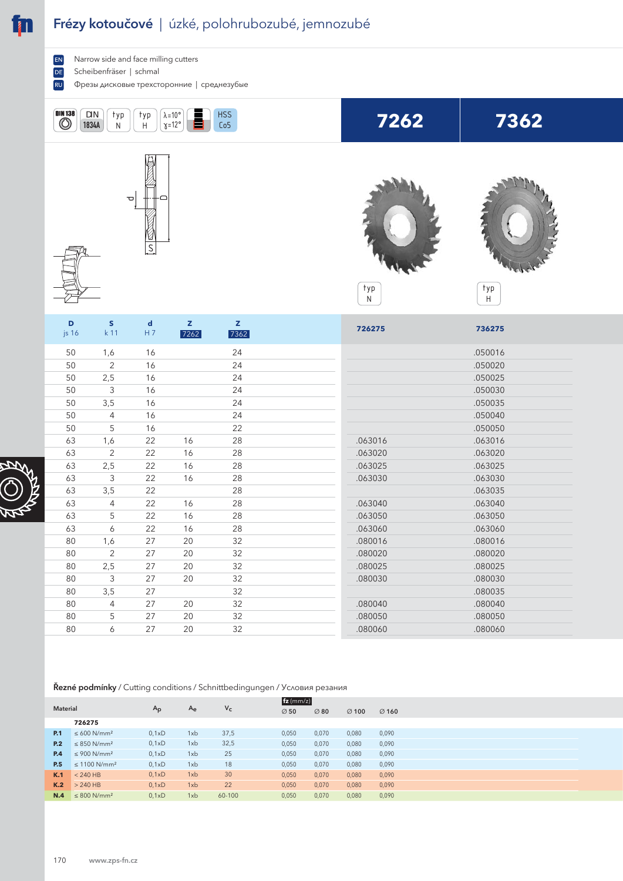# Frézy kotoučové | úzké, polohrubozubé, jemnozubé



 $DE$ Scheibenfräser | schmal

fn

**RU** Фрезы дисковые трехсторонние | среднезубые



|         | 50 | $\overline{2}$ | 16 |    | 24 |         | .050020 |
|---------|----|----------------|----|----|----|---------|---------|
|         | 50 | 2,5            | 16 |    | 24 |         | .050025 |
|         | 50 | 3              | 16 |    | 24 |         | .050030 |
|         | 50 | 3,5            | 16 |    | 24 |         | .050035 |
|         | 50 | 4              | 16 |    | 24 |         | .050040 |
|         | 50 | 5              | 16 |    | 22 |         | .050050 |
|         | 63 | 1,6            | 22 | 16 | 28 | .063016 | .063016 |
|         | 63 | $\mathbf{2}$   | 22 | 16 | 28 | .063020 | .063020 |
|         | 63 | 2,5            | 22 | 16 | 28 | .063025 | .063025 |
|         | 63 | 3              | 22 | 16 | 28 | .063030 | .063030 |
| NA<br>P | 63 | 3,5            | 22 |    | 28 |         | .063035 |
|         | 63 | 4              | 22 | 16 | 28 | .063040 | .063040 |
|         | 63 | 5              | 22 | 16 | 28 | .063050 | .063050 |
|         | 63 | 6              | 22 | 16 | 28 | .063060 | .063060 |
|         | 80 | 1,6            | 27 | 20 | 32 | .080016 | .080016 |
|         | 80 | $\overline{2}$ | 27 | 20 | 32 | .080020 | .080020 |
|         | 80 | 2,5            | 27 | 20 | 32 | .080025 | .080025 |
|         | 80 | 3              | 27 | 20 | 32 | .080030 | .080030 |
|         | 80 | 3,5            | 27 |    | 32 |         | .080035 |
|         | 80 | 4              | 27 | 20 | 32 | .080040 | .080040 |
|         | 80 | 5              | 27 | 20 | 32 | .080050 | .080050 |
|         | 80 | 6              | 27 | 20 | 32 | .080060 | .080060 |
|         |    |                |    |    |    |         |         |

| Material   |                               | $A_{p}$ | $A_{\mathbf{e}}$ | $V_c$  | $ f$ z (mm/z) $ $<br>$\varnothing$ 50 | $\varnothing$ 80 | $\varnothing$ 100 | $\varnothing$ 160 |
|------------|-------------------------------|---------|------------------|--------|---------------------------------------|------------------|-------------------|-------------------|
|            | 726275                        |         |                  |        |                                       |                  |                   |                   |
| <b>P.1</b> | $\leq 600$ N/mm <sup>2</sup>  | 0,1xD   | 1xb              | 37,5   | 0,050                                 | 0,070            | 0,080             | 0,090             |
| P.2        | $\leq$ 850 N/mm <sup>2</sup>  | 0,1xD   | 1xb              | 32,5   | 0,050                                 | 0,070            | 0,080             | 0,090             |
| <b>P.4</b> | $\leq$ 900 N/mm <sup>2</sup>  | 0,1xD   | 1xb              | 25     | 0,050                                 | 0,070            | 0,080             | 0,090             |
| <b>P.5</b> | $\leq$ 1100 N/mm <sup>2</sup> | 0,1xD   | 1xb              | 18     | 0,050                                 | 0,070            | 0,080             | 0,090             |
| K.1        | $< 240$ HB                    | 0,1xD   | 1xb              | 30     | 0,050                                 | 0,070            | 0,080             | 0,090             |
| K.2        | $> 240$ HB                    | 0,1xD   | 1xb              | 22     | 0,050                                 | 0,070            | 0,080             | 0,090             |
| N.4        | $\leq$ 800 N/mm <sup>2</sup>  | 0,1xD   | 1xb              | 60-100 | 0,050                                 | 0,070            | 0,080             | 0,090             |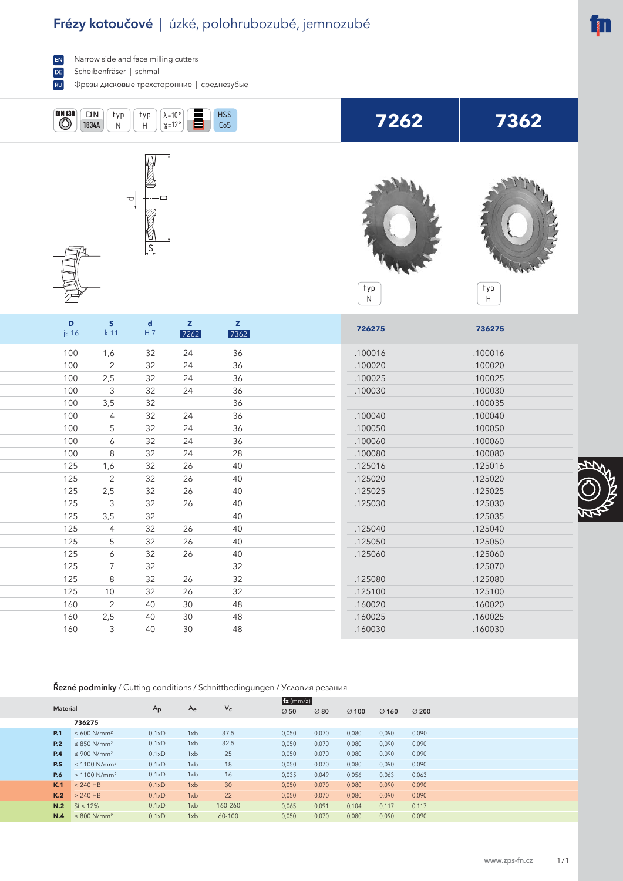### Frézy kotoučové | úzké, polohrubozubé, jemnozubé

Narrow side and face milling cutters EN

Scheibenfräser | schmal  $DE$ 

160

160

 $2,5$ 

 $\overline{3}$ 

40

40

**RU** Фрезы дисковые трехсторонние | среднезубые



### Řezné podmínky / Cutting conditions / Schnittbedingungen / Условия резания

48

48

30

30

| <b>Material</b> |                               | $A_{p}$ | $A_{e}$ | $V_c$   | $fz$ (mm/z)<br>$\varnothing$ 50 | $\varnothing$ 80 | $\varnothing$ 100 | $\varnothing$ 160 | $\varnothing$ 200 |
|-----------------|-------------------------------|---------|---------|---------|---------------------------------|------------------|-------------------|-------------------|-------------------|
|                 | 736275                        |         |         |         |                                 |                  |                   |                   |                   |
| <b>P.1</b>      | $\leq 600$ N/mm <sup>2</sup>  | 0.1xD   | 1xb     | 37,5    | 0,050                           | 0,070            | 0,080             | 0,090             | 0,090             |
| P.2             | $\leq$ 850 N/mm <sup>2</sup>  | 0,1xD   | 1xb     | 32,5    | 0,050                           | 0,070            | 0,080             | 0,090             | 0,090             |
| <b>P.4</b>      | $\leq$ 900 N/mm <sup>2</sup>  | 0,1xD   | 1xb     | 25      | 0,050                           | 0,070            | 0,080             | 0,090             | 0,090             |
| P.5             | $\leq$ 1100 N/mm <sup>2</sup> | 0,1xD   | 1xb     | 18      | 0,050                           | 0,070            | 0,080             | 0,090             | 0,090             |
| P.6             | $> 1100$ N/mm <sup>2</sup>    | 0,1xD   | 1xb     | 16      | 0,035                           | 0,049            | 0,056             | 0,063             | 0,063             |
| K.1             | $< 240$ HB                    | 0,1xD   | 1xb     | 30      | 0,050                           | 0,070            | 0,080             | 0,090             | 0,090             |
| K.2             | $>240$ HB                     | 0,1xD   | 1xb     | 22      | 0,050                           | 0,070            | 0,080             | 0,090             | 0,090             |
| N.2             | $Si \leq 12\%$                | 0,1xD   | 1xb     | 160-260 | 0,065                           | 0,091            | 0,104             | 0,117             | 0,117             |
| N.4             | $\leq$ 800 N/mm <sup>2</sup>  | 0,1xD   | 1xb     | 60-100  | 0,050                           | 0,070            | 0,080             | 0,090             | 0,090             |

.160025

.160030



fn

.160025

.160030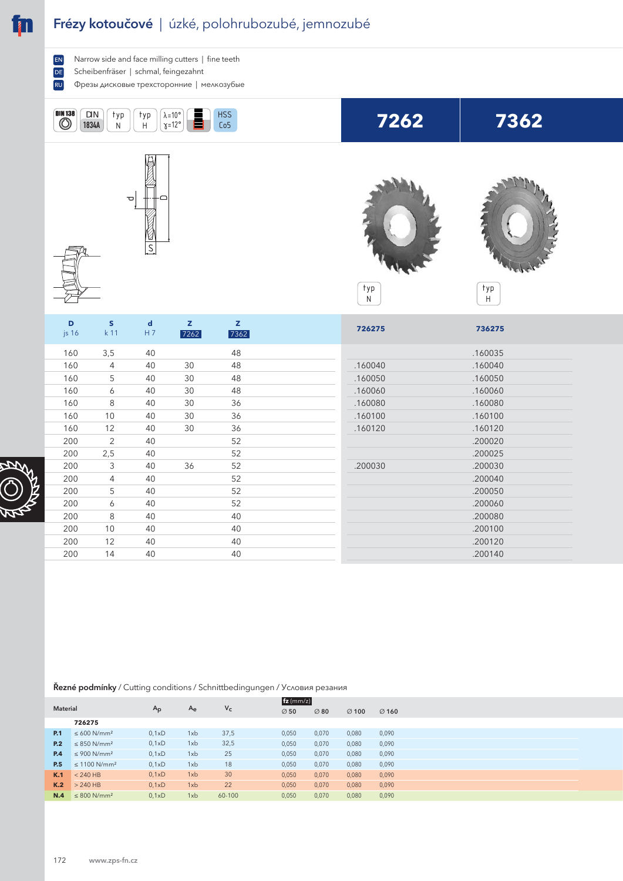# Frézy kotoučové | úzké, polohrubozubé, jemnozubé



- $DE$ Scheibenfräser | schmal, feingezahnt
- **RU** Фрезы дисковые трехсторонние | мелкозубые



| D<br>js $16$ | $\mathsf{s}$<br>k 11 | $\mathbf d$<br>H <sub>7</sub> | z<br>7262 | z<br>7362 | 726275  | 736275  |
|--------------|----------------------|-------------------------------|-----------|-----------|---------|---------|
| 160          | 3,5                  | 40                            |           | 48        |         | .160035 |
| 160          | 4                    | 40                            | 30        | 48        | .160040 | .160040 |
| 160          | 5                    | 40                            | 30        | 48        | .160050 | .160050 |
| 160          | 6                    | 40                            | 30        | 48        | .160060 | .160060 |
| 160          | 8                    | 40                            | 30        | 36        | .160080 | .160080 |
| 160          | 10                   | 40                            | 30        | 36        | .160100 | .160100 |
| 160          | 12                   | 40                            | 30        | 36        | .160120 | .160120 |
| 200          | $\overline{2}$       | 40                            |           | 52        |         | .200020 |
| 200          | 2,5                  | 40                            |           | 52        |         | .200025 |
| 200          | 3                    | 40                            | 36        | 52        | .200030 | .200030 |
| 200          | 4                    | 40                            |           | 52        |         | .200040 |
| 200          | 5                    | 40                            |           | 52        |         | .200050 |
| 200          | 6                    | 40                            |           | 52        |         | .200060 |
| 200          | 8                    | 40                            |           | 40        |         | .200080 |
| 200          | 10                   | 40                            |           | 40        |         | .200100 |
| 200          | 12                   | 40                            |           | 40        |         | .200120 |
| 200          | 14                   | 40                            |           | 40        |         | .200140 |
|              |                      |                               |           |           |         |         |



| Material   |                               | $A_{p}$ | $A_{\mathbf{e}}$ | $V_c$  | $fz$ (mm/z)<br>$\varnothing$ 50 | $\varnothing$ 80 | $\varnothing$ 100 | $\varnothing$ 160 |
|------------|-------------------------------|---------|------------------|--------|---------------------------------|------------------|-------------------|-------------------|
|            | 726275                        |         |                  |        |                                 |                  |                   |                   |
| <b>P.1</b> | $\leq 600$ N/mm <sup>2</sup>  | 0,1xD   | 1xb              | 37,5   | 0,050                           | 0,070            | 0,080             | 0,090             |
| P.2        | $\leq$ 850 N/mm <sup>2</sup>  | 0,1xD   | 1xb              | 32,5   | 0,050                           | 0,070            | 0,080             | 0,090             |
| <b>P.4</b> | $\leq$ 900 N/mm <sup>2</sup>  | 0,1xD   | 1xb              | 25     | 0,050                           | 0,070            | 0,080             | 0,090             |
| <b>P.5</b> | $\leq$ 1100 N/mm <sup>2</sup> | 0,1xD   | 1xb              | 18     | 0,050                           | 0,070            | 0,080             | 0,090             |
| K.1        | $< 240$ HB                    | 0,1xD   | 1xb              | 30     | 0,050                           | 0,070            | 0,080             | 0,090             |
| K.2        | $>240$ HB                     | 0,1xD   | 1xb              | 22     | 0,050                           | 0,070            | 0,080             | 0,090             |
| N.4        | $\leq$ 800 N/mm <sup>2</sup>  | 0,1xD   | 1xb              | 60-100 | 0,050                           | 0,070            | 0,080             | 0,090             |

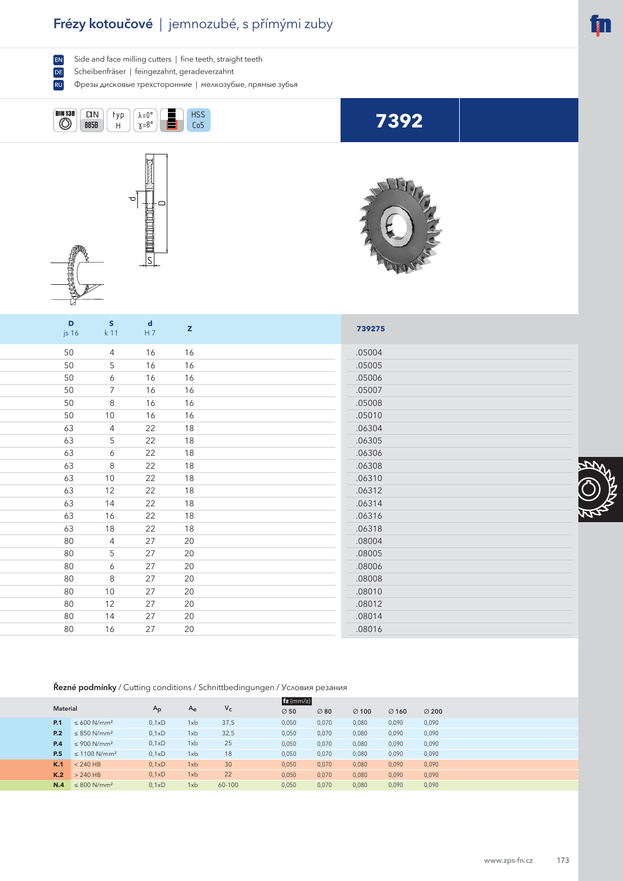# Frézy kotoučové | jemnozubé, s přímými zuby



- $DE$ Scheibenfräser | feingezahnt, geradeverzahnt
- Фрезы дисковые трехсторонние | мелкозубые, прямые зубья **RU**



| D<br>js 16 | S<br>$k$ 11    | $\mathbf d$<br>H <sub>7</sub> | $\mathbf{z}$ | 739275 |
|------------|----------------|-------------------------------|--------------|--------|
| 50         | 4              | 16                            | 16           | .05004 |
| 50         | 5              | 16                            | 16           | .05005 |
| 50         | 6              | 16                            | 16           | .05006 |
| 50         | 7              | 16                            | 16           | .05007 |
| 50         | 8              | 16                            | 16           | .05008 |
| 50         | 10             | 16                            | 16           | .05010 |
| 63         | 4              | 22                            | 18           | .06304 |
| 63         | 5              | 22                            | 18           | .06305 |
| 63         | 6              | 22                            | 18           | .06306 |
| 63         | $\,8\,$        | 22                            | 18           | .06308 |
| 63         | 10             | 22                            | 18           | .06310 |
| 63         | 12             | 22                            | 18           | .06312 |
| 63         | 14             | 22                            | 18           | .06314 |
| 63         | 16             | 22                            | 18           | .06316 |
| 63         | 18             | 22                            | 18           | .06318 |
| 80         | $\overline{4}$ | 27                            | 20           | .08004 |
| 80         | 5              | 27                            | 20           | .08005 |
| 80         | 6              | 27                            | 20           | .08006 |
| 80         | 8              | 27                            | 20           | .08008 |
| 80         | 10             | 27                            | 20           | .08010 |
| 80         | 12             | 27                            | 20           | .08012 |
| 80         | 14             | 27                            | 20           | .08014 |
| 80         | 16             | 27                            | 20           | .08016 |

### Řezné podmínky / Cutting conditions / Schnittbedingungen / Условия резания

|                 |                               |                  |         |        | $f$ z (mm/z) |                  |                   |                   |                   |
|-----------------|-------------------------------|------------------|---------|--------|--------------|------------------|-------------------|-------------------|-------------------|
| <b>Material</b> |                               | $A_{\mathbf{D}}$ | $A_{e}$ | $V_c$  | Ø50          | $\varnothing$ 80 | $\varnothing$ 100 | $\varnothing$ 160 | $\varnothing$ 200 |
| <b>P.1</b>      | $\leq 600$ N/mm <sup>2</sup>  | 0,1xD            | 1xb     | 37,5   | 0,050        | 0,070            | 0,080             | 0,090             | 0,090             |
| P.2             | $\leq$ 850 N/mm <sup>2</sup>  | 0,1xD            | 1xb     | 32,5   | 0,050        | 0,070            | 0,080             | 0,090             | 0,090             |
| <b>P.4</b>      | $\leq$ 900 N/mm <sup>2</sup>  | 0,1xD            | 1xb     | 25     | 0,050        | 0,070            | 0,080             | 0,090             | 0,090             |
| P.5             | $\leq$ 1100 N/mm <sup>2</sup> | 0,1xD            | 1xb     | 18     | 0,050        | 0,070            | 0,080             | 0,090             | 0,090             |
| K.1             | $< 240$ HB                    | 0,1xD            | 1xb     | 30     | 0,050        | 0,070            | 0,080             | 0,090             | 0,090             |
| K.2             | $>240$ HB                     | 0,1xD            | 1xb     | 22     | 0,050        | 0,070            | 0,080             | 0,090             | 0,090             |
| N.4             | $\leq$ 800 N/mm <sup>2</sup>  | 0,1xD            | 1xb     | 60-100 | 0,050        | 0,070            | 0,080             | 0,090             | 0,090             |

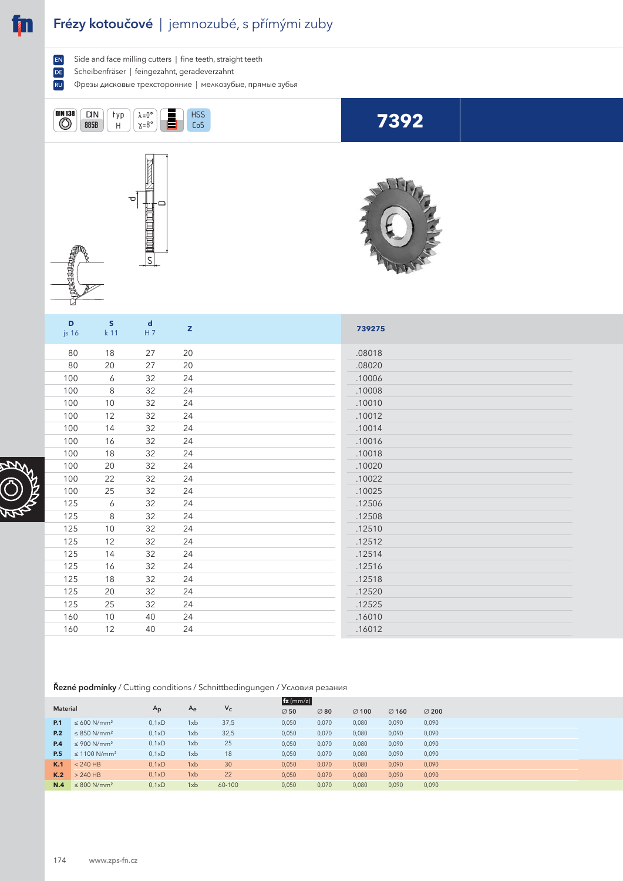### Frézy kotoučové | jemnozubé, s přímými zuby

- Side and face milling cutters | fine teeth, straight teeth  $EN$
- Scheibenfräser | feingezahnt, geradeverzahnt  $[DE]$
- **RU** Фрезы дисковые трехсторонние | мелкозубые, прямые зубья



### Řezné podmínky / Cutting conditions / Schnittbedingungen / Условия резания

24

| Material       |                               | Ap    | $A_{e}$ | $V_c$  | $ \mathbf{f}\mathbf{z}$ (mm/z)<br>$\varnothing$ 50 | $\varnothing$ 80 | $\varnothing$ 100 | $\varnothing$ 160 | Ø 200 |  |  |
|----------------|-------------------------------|-------|---------|--------|----------------------------------------------------|------------------|-------------------|-------------------|-------|--|--|
| <b>P.1</b>     | $\leq 600$ N/mm <sup>2</sup>  | 0,1xD | 1xb     | 37,5   | 0,050                                              | 0,070            | 0,080             | 0,090             | 0,090 |  |  |
| P <sub>2</sub> | $\leq$ 850 N/mm <sup>2</sup>  | 0,1xD | 1xb     | 32,5   | 0,050                                              | 0,070            | 0,080             | 0,090             | 0,090 |  |  |
| <b>P.4</b>     | $\leq$ 900 N/mm <sup>2</sup>  | 0,1xD | 1xb     | 25     | 0,050                                              | 0,070            | 0,080             | 0,090             | 0,090 |  |  |
| P.5            | $\leq$ 1100 N/mm <sup>2</sup> | 0,1xD | 1xb     | 18     | 0,050                                              | 0,070            | 0,080             | 0,090             | 0,090 |  |  |
| K.1            | $< 240$ HB                    | 0,1xD | 1xb     | 30     | 0,050                                              | 0,070            | 0,080             | 0,090             | 0,090 |  |  |
| K.2            | $>240$ HB                     | 0,1xD | 1xb     | 22     | 0,050                                              | 0,070            | 0,080             | 0,090             | 0,090 |  |  |
| N.4            | $\leq$ 800 N/mm <sup>2</sup>  | 0,1xD | 1xb     | 60-100 | 0,050                                              | 0,070            | 0,080             | 0,090             | 0,090 |  |  |

.16012



fn

 $12$ 

160

40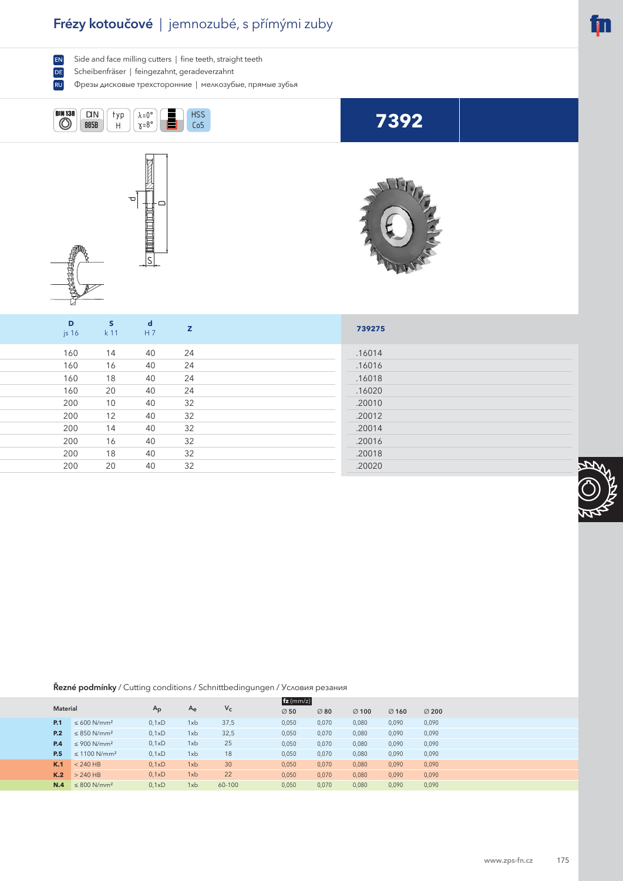# Frézy kotoučové | jemnozubé, s přímými zuby



- $DE$ Scheibenfräser | feingezahnt, geradeverzahnt
- Фрезы дисковые трехсторонние | мелкозубые, прямые зубья **RU**



| D<br>js $16$ | <b>S</b><br>k <sub>11</sub> | $\mathbf d$<br>H <sub>7</sub> | z  | 739275 |
|--------------|-----------------------------|-------------------------------|----|--------|
| 160          | 14                          | 40                            | 24 | .16014 |
| 160          | 16                          | 40                            | 24 | .16016 |
| 160          | 18                          | 40                            | 24 | .16018 |
| 160          | 20                          | 40                            | 24 | .16020 |
| 200          | 10                          | 40                            | 32 | .20010 |
| 200          | 12                          | 40                            | 32 | .20012 |
| 200          | 14                          | 40                            | 32 | .20014 |
| 200          | 16                          | 40                            | 32 | .20016 |
| 200          | 18                          | 40                            | 32 | .20018 |
| 200          | 20                          | 40                            | 32 | .20020 |

### Řezné podmínky / Cutting conditions / Schnittbedingungen / Условия резания

|            |                               |                  |         |        | $fz$ (mm/z) |                  |                   |                   |                   |
|------------|-------------------------------|------------------|---------|--------|-------------|------------------|-------------------|-------------------|-------------------|
| Material   |                               | $A_{\mathbf{D}}$ | $A_{e}$ | $V_c$  | Ø50         | $\varnothing$ 80 | $\varnothing$ 100 | $\varnothing$ 160 | $\varnothing$ 200 |
| <b>P.1</b> | $\leq 600$ N/mm <sup>2</sup>  | 0,1xD            | 1xb     | 37,5   | 0,050       | 0,070            | 0,080             | 0,090             | 0,090             |
| P.2        | $\leq$ 850 N/mm <sup>2</sup>  | 0,1xD            | 1xb     | 32,5   | 0,050       | 0,070            | 0,080             | 0,090             | 0,090             |
| <b>P.4</b> | $\leq$ 900 N/mm <sup>2</sup>  | 0,1xD            | 1xb     | 25     | 0,050       | 0,070            | 0,080             | 0,090             | 0,090             |
| P.5        | $\leq$ 1100 N/mm <sup>2</sup> | 0,1xD            | 1xb     | 18     | 0,050       | 0,070            | 0,080             | 0,090             | 0,090             |
| K.1        | $< 240$ HB                    | 0,1xD            | 1xb     | 30     | 0,050       | 0,070            | 0,080             | 0,090             | 0,090             |
| K.2        | $> 240$ HB                    | 0,1xD            | 1xb     | 22     | 0,050       | 0,070            | 0,080             | 0,090             | 0,090             |
| N.4        | $\leq$ 800 N/mm <sup>2</sup>  | 0,1xD            | 1xb     | 60-100 | 0,050       | 0,070            | 0,080             | 0,090             | 0,090             |

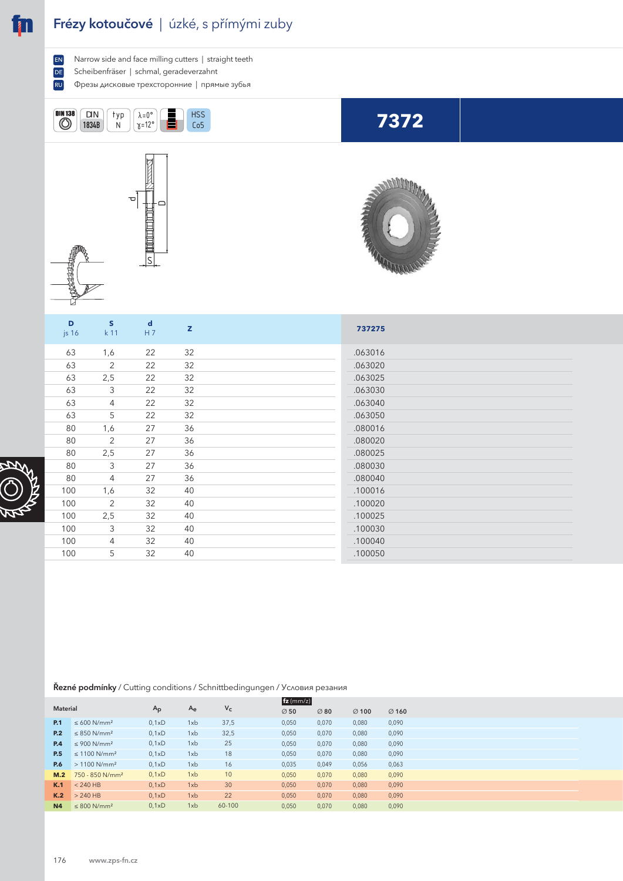#### fn Frézy kotoučové | úzké, s přímými zuby



- Scheibenfräser | schmal, geradeverzahnt  $DE$
- **RU** Фрезы дисковые трехсторонние | прямые зубья





# 7372



| D<br>js 16 | $\mathsf{s}$<br>k 11 | $\mathbf d$<br>H7 | $\mathbf{z}$ | 737275  |
|------------|----------------------|-------------------|--------------|---------|
| 63         | 1,6                  | 22                | 32           | .063016 |
| 63         | 2                    | 22                | 32           | .063020 |
| 63         | 2,5                  | 22                | 32           | .063025 |
| 63         | 3                    | 22                | 32           | .063030 |
| 63         | $\overline{4}$       | 22                | 32           | .063040 |
| 63         | 5                    | 22                | 32           | .063050 |
| 80         | 1,6                  | 27                | 36           | .080016 |
| 80         | $\overline{2}$       | 27                | 36           | .080020 |
| 80         | 2,5                  | 27                | 36           | .080025 |
| 80         | 3                    | 27                | 36           | .080030 |
| 80         | 4                    | 27                | 36           | .080040 |
| 100        | 1,6                  | 32                | 40           | .100016 |
| 100        | $\overline{2}$       | 32                | 40           | .100020 |
| 100        | 2,5                  | 32                | 40           | .100025 |
| 100        | 3                    | 32                | 40           | .100030 |
| 100        | 4                    | 32                | 40           | .100040 |
| 100        | 5                    | 32                | 40           | .100050 |

|                 |                               |         |                  |        | $f$ z (mm/z)     |                  |                   |                   |  |
|-----------------|-------------------------------|---------|------------------|--------|------------------|------------------|-------------------|-------------------|--|
| <b>Material</b> |                               | $A_{p}$ | $A_{\mathbf{e}}$ | $V_c$  | $\varnothing$ 50 | $\varnothing$ 80 | $\varnothing$ 100 | $\varnothing$ 160 |  |
| <b>P.1</b>      | $\leq 600$ N/mm <sup>2</sup>  | 0.1xD   | 1xb              | 37,5   | 0,050            | 0,070            | 0,080             | 0,090             |  |
| P.2             | $\leq$ 850 N/mm <sup>2</sup>  | 0,1xD   | 1xb              | 32,5   | 0,050            | 0,070            | 0,080             | 0,090             |  |
| <b>P.4</b>      | $\leq$ 900 N/mm <sup>2</sup>  | 0,1xD   | 1xb              | 25     | 0,050            | 0,070            | 0,080             | 0,090             |  |
| <b>P.5</b>      | $\leq$ 1100 N/mm <sup>2</sup> | 0,1xD   | 1xb              | 18     | 0,050            | 0,070            | 0,080             | 0,090             |  |
| <b>P.6</b>      | $> 1100$ N/mm <sup>2</sup>    | 0,1xD   | 1xb              | 16     | 0,035            | 0,049            | 0,056             | 0,063             |  |
| M.2             | 750 - 850 N/mm <sup>2</sup>   | 0,1xD   | 1xb              | 10     | 0,050            | 0,070            | 0,080             | 0,090             |  |
| K.1             | $< 240$ HB                    | 0,1xD   | 1xb              | 30     | 0,050            | 0,070            | 0,080             | 0,090             |  |
| K.2             | $>240$ HB                     | 0,1xD   | 1xb              | 22     | 0,050            | 0,070            | 0,080             | 0,090             |  |
| N <sub>4</sub>  | $\leq$ 800 N/mm <sup>2</sup>  | 0,1xD   | 1xb              | 60-100 | 0,050            | 0,070            | 0,080             | 0,090             |  |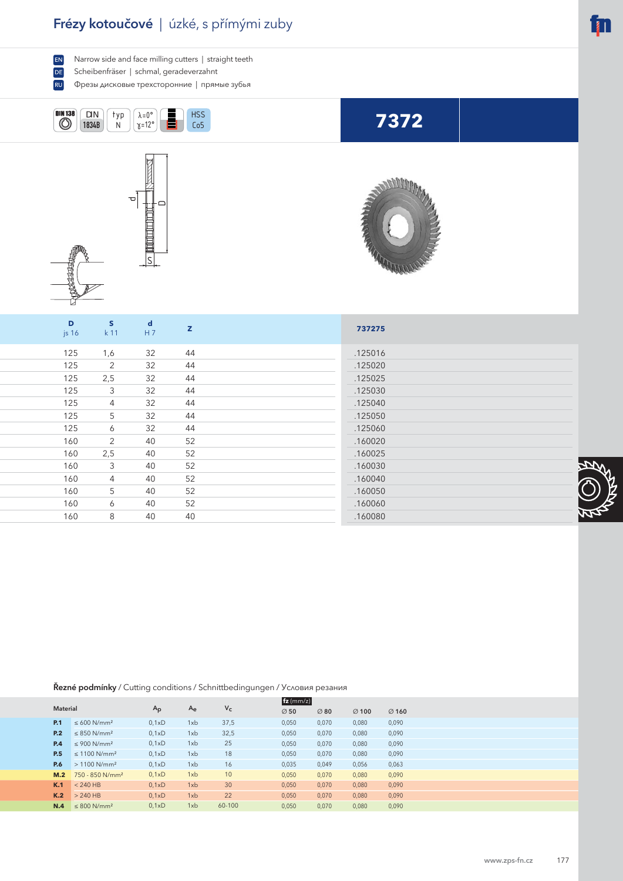### Frézy kotoučové | úzké, s přímými zuby



Scheibenfräser | schmal, geradeverzahnt  $DE$ 

160

160

160

160

160

3

 $\overline{4}$ 

5

 $\boldsymbol{6}$ 

8

40

40

40

40

40

52

52

52

52

40

**RU** Фрезы дисковые трехсторонние | прямые зубья



.160030

.160040

.160050

.160060

.160080

|                 |                               |         |         |        | $fz$ (mm/z)      |                  |                   |                   |  |
|-----------------|-------------------------------|---------|---------|--------|------------------|------------------|-------------------|-------------------|--|
| <b>Material</b> |                               | $A_{p}$ | $A_{e}$ | $V_c$  | $\varnothing$ 50 | $\varnothing$ 80 | $\varnothing$ 100 | $\varnothing$ 160 |  |
| <b>P.1</b>      | $\leq 600$ N/mm <sup>2</sup>  | 0,1xD   | 1xb     | 37,5   | 0,050            | 0,070            | 0,080             | 0,090             |  |
| P <sub>2</sub>  | $\leq$ 850 N/mm <sup>2</sup>  | 0,1xD   | 1xb     | 32,5   | 0,050            | 0,070            | 0,080             | 0,090             |  |
| <b>P.4</b>      | $\leq$ 900 N/mm <sup>2</sup>  | 0,1xD   | 1xb     | 25     | 0,050            | 0,070            | 0,080             | 0,090             |  |
| P.5             | $\leq$ 1100 N/mm <sup>2</sup> | 0,1xD   | 1xb     | 18     | 0,050            | 0,070            | 0,080             | 0,090             |  |
| P.6             | $> 1100$ N/mm <sup>2</sup>    | 0,1xD   | 1xb     | 16     | 0,035            | 0,049            | 0,056             | 0,063             |  |
| M.2             | 750 - 850 N/mm <sup>2</sup>   | 0,1xD   | 1xb     | 10     | 0,050            | 0,070            | 0,080             | 0,090             |  |
| K.1             | $< 240$ HB                    | 0,1xD   | 1xb     | 30     | 0,050            | 0,070            | 0,080             | 0,090             |  |
| K.2             | $>240$ HB                     | 0,1xD   | 1xb     | 22     | 0.050            | 0,070            | 0,080             | 0,090             |  |
| N.4             | $\leq$ 800 N/mm <sup>2</sup>  | 0,1xD   | 1xb     | 60-100 | 0,050            | 0,070            | 0,080             | 0,090             |  |

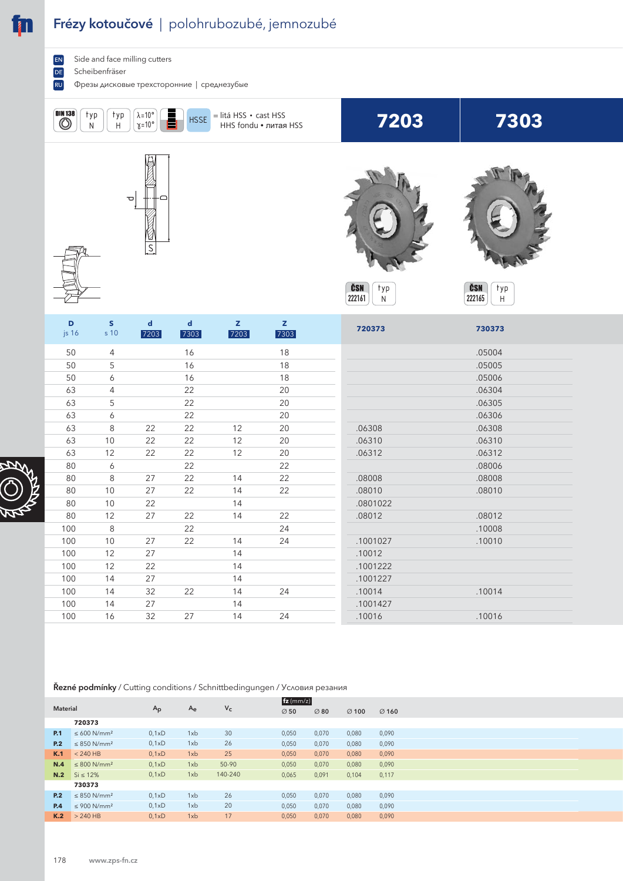#### fn Frézy kotoučové | polohrubozubé, jemnozubé



Scheibenfräser DE

**RU** Фрезы дисковые трехсторонние | среднезубые



| v |  |
|---|--|
|   |  |
|   |  |
| L |  |

.08008

.08010

.08012

.0801022

.1001027

.1001222

.1001227

.1001427

.10014

.10016

.10012

.08008

.08010

.08012

.10008

.10010

.10014

.10016

www.zps-fn.cz

| <b>Material</b>                            | $A_{p}$ |                  | $V_c$   |                  |                  |                   |                   |  |
|--------------------------------------------|---------|------------------|---------|------------------|------------------|-------------------|-------------------|--|
|                                            |         | $A_{\mathbf{e}}$ |         | $\varnothing$ 50 | $\varnothing$ 80 | $\varnothing$ 100 | $\varnothing$ 160 |  |
| 720373                                     |         |                  |         |                  |                  |                   |                   |  |
| $\leq 600$ N/mm <sup>2</sup><br><b>P.1</b> | 0,1xD   | 1xb              | 30      | 0,050            | 0,070            | 0,080             | 0,090             |  |
| $\leq$ 850 N/mm <sup>2</sup><br>P.2        | 0,1xD   | 1xb              | 26      | 0,050            | 0,070            | 0,080             | 0,090             |  |
| $< 240$ HB<br>K.1                          | 0,1xD   | 1xb              | 25      | 0,050            | 0,070            | 0,080             | 0,090             |  |
| N.4<br>$\leq$ 800 N/mm <sup>2</sup>        | 0,1xD   | 1xb              | 50-90   | 0,050            | 0,070            | 0,080             | 0,090             |  |
| N.2<br>$Si \leq 12\%$                      | 0,1xD   | 1xb              | 140-240 | 0,065            | 0,091            | 0,104             | 0,117             |  |
| 730373                                     |         |                  |         |                  |                  |                   |                   |  |
| $\leq$ 850 N/mm <sup>2</sup><br>P.2        | 0,1xD   | 1xb              | 26      | 0,050            | 0,070            | 0,080             | 0,090             |  |
| $\leq$ 900 N/mm <sup>2</sup><br>P.4        | 0,1xD   | 1xb              | 20      | 0,050            | 0,070            | 0,080             | 0,090             |  |
| K.2<br>$>240$ HB                           | 0,1xD   | 1xb              | 17      | 0,050            | 0,070            | 0,080             | 0,090             |  |